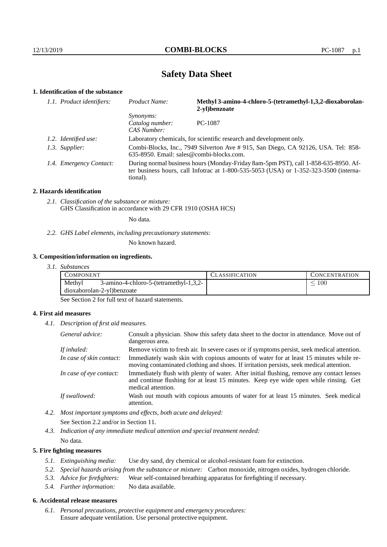# **Safety Data Sheet**

# **1. Identification of the substance**

| 1.1. Product identifiers: | <b>Product Name:</b>                               | Methyl 3-amino-4-chloro-5-(tetramethyl-1,3,2-dioxaborolan-<br>2-vl)benzoate                                                                                                     |
|---------------------------|----------------------------------------------------|---------------------------------------------------------------------------------------------------------------------------------------------------------------------------------|
|                           | <i>Synonyms:</i><br>Catalog number:<br>CAS Number: | PC-1087                                                                                                                                                                         |
| 1.2. Identified use:      |                                                    | Laboratory chemicals, for scientific research and development only.                                                                                                             |
| 1.3. Supplier:            | 635-8950. Email: sales@combi-blocks.com.           | Combi-Blocks, Inc., 7949 Silverton Ave # 915, San Diego, CA 92126, USA. Tel: 858-                                                                                               |
| 1.4. Emergency Contact:   | tional).                                           | During normal business hours (Monday-Friday 8am-5pm PST), call 1-858-635-8950. Af-<br>ter business hours, call Infotrac at $1-800-535-5053$ (USA) or $1-352-323-3500$ (interna- |

#### **2. Hazards identification**

*2.1. Classification of the substance or mixture:* GHS Classification in accordance with 29 CFR 1910 (OSHA HCS)

No data.

*2.2. GHS Label elements, including precautionary statements:*

No known hazard.

#### **3. Composition/information on ingredients.**

*3.1. Substances*

| COMPONENT |                                           | <b>LASSIFICATION</b> | <b>CONCENTRATION</b> |
|-----------|-------------------------------------------|----------------------|----------------------|
| Methyl    | $3$ -amino-4-chloro-5-(tetramethyl-1,3,2- |                      | 100                  |
|           | dioxaborolan-2-yl)benzoate                |                      |                      |

See Section 2 for full text of hazard statements.

### **4. First aid measures**

*4.1. Description of first aid measures.*

| General advice:          | Consult a physician. Show this safety data sheet to the doctor in attendance. Move out of<br>dangerous area.                                                                                            |
|--------------------------|---------------------------------------------------------------------------------------------------------------------------------------------------------------------------------------------------------|
| If inhaled:              | Remove victim to fresh air. In severe cases or if symptoms persist, seek medical attention.                                                                                                             |
| In case of skin contact: | Immediately wash skin with copious amounts of water for at least 15 minutes while re-<br>moving contaminated clothing and shoes. If irritation persists, seek medical attention.                        |
| In case of eye contact:  | Immediately flush with plenty of water. After initial flushing, remove any contact lenses<br>and continue flushing for at least 15 minutes. Keep eye wide open while rinsing. Get<br>medical attention. |
| If swallowed:            | Wash out mouth with copious amounts of water for at least 15 minutes. Seek medical<br>attention.                                                                                                        |

- *4.2. Most important symptoms and effects, both acute and delayed:* See Section 2.2 and/or in Section 11.
- *4.3. Indication of any immediate medical attention and special treatment needed:* No data.

#### **5. Fire fighting measures**

- *5.1. Extinguishing media:* Use dry sand, dry chemical or alcohol-resistant foam for extinction.
- *5.2. Special hazards arising from the substance or mixture:* Carbon monoxide, nitrogen oxides, hydrogen chloride.
- *5.3. Advice for firefighters:* Wear self-contained breathing apparatus for firefighting if necessary.
- *5.4. Further information:* No data available.

### **6. Accidental release measures**

*6.1. Personal precautions, protective equipment and emergency procedures:* Ensure adequate ventilation. Use personal protective equipment.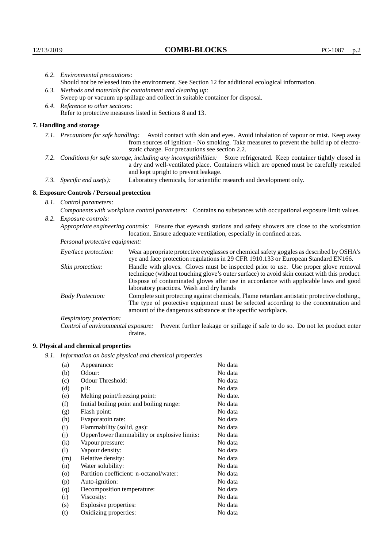|                                   | 6.2. Environmental precautions:                                                                                                                                                                                                                                    |                                                                                                                                                                                                                                                                            |  |  |
|-----------------------------------|--------------------------------------------------------------------------------------------------------------------------------------------------------------------------------------------------------------------------------------------------------------------|----------------------------------------------------------------------------------------------------------------------------------------------------------------------------------------------------------------------------------------------------------------------------|--|--|
|                                   | Should not be released into the environment. See Section 12 for additional ecological information.                                                                                                                                                                 |                                                                                                                                                                                                                                                                            |  |  |
|                                   | 6.3. Methods and materials for containment and cleaning up:                                                                                                                                                                                                        |                                                                                                                                                                                                                                                                            |  |  |
|                                   |                                                                                                                                                                                                                                                                    | Sweep up or vacuum up spillage and collect in suitable container for disposal.                                                                                                                                                                                             |  |  |
| 6.4. Reference to other sections: |                                                                                                                                                                                                                                                                    |                                                                                                                                                                                                                                                                            |  |  |
|                                   |                                                                                                                                                                                                                                                                    | Refer to protective measures listed in Sections 8 and 13.                                                                                                                                                                                                                  |  |  |
|                                   | 7. Handling and storage                                                                                                                                                                                                                                            |                                                                                                                                                                                                                                                                            |  |  |
|                                   | 7.1. Precautions for safe handling: Avoid contact with skin and eyes. Avoid inhalation of vapour or mist. Keep away<br>from sources of ignition - No smoking. Take measures to prevent the build up of electro-<br>static charge. For precautions see section 2.2. |                                                                                                                                                                                                                                                                            |  |  |
|                                   | 7.2. Conditions for safe storage, including any incompatibilities: Store refrigerated. Keep container tightly closed in<br>a dry and well-ventilated place. Containers which are opened must be carefully resealed<br>and kept upright to prevent leakage.         |                                                                                                                                                                                                                                                                            |  |  |
|                                   | Laboratory chemicals, for scientific research and development only.<br>7.3. Specific end use(s):                                                                                                                                                                   |                                                                                                                                                                                                                                                                            |  |  |
|                                   | 8. Exposure Controls / Personal protection                                                                                                                                                                                                                         |                                                                                                                                                                                                                                                                            |  |  |
|                                   | 8.1. Control parameters:                                                                                                                                                                                                                                           |                                                                                                                                                                                                                                                                            |  |  |
|                                   | Components with workplace control parameters: Contains no substances with occupational exposure limit values.                                                                                                                                                      |                                                                                                                                                                                                                                                                            |  |  |
|                                   | 8.2. Exposure controls:                                                                                                                                                                                                                                            |                                                                                                                                                                                                                                                                            |  |  |
|                                   |                                                                                                                                                                                                                                                                    | Appropriate engineering controls: Ensure that eyewash stations and safety showers are close to the workstation<br>location. Ensure adequate ventilation, especially in confined areas.                                                                                     |  |  |
|                                   | Personal protective equipment:                                                                                                                                                                                                                                     |                                                                                                                                                                                                                                                                            |  |  |
|                                   | Eye/face protection:                                                                                                                                                                                                                                               | Wear appropriate protective eyeglasses or chemical safety goggles as described by OSHA's<br>eye and face protection regulations in 29 CFR 1910.133 or European Standard EN166.                                                                                             |  |  |
|                                   | Skin protection:                                                                                                                                                                                                                                                   | Handle with gloves. Gloves must be inspected prior to use. Use proper glove removal<br>technique (without touching glove's outer surface) to avoid skin contact with this product.<br>Dispose of conteminated gloves efter use in eccordance with employeele laws and good |  |  |

### **8. Exposure Controls / Personal protection**

| Eye/face protection:               | Wear appropriate protective eyeglasses or chemical safety goggles as described by OSHA's<br>eye and face protection regulations in 29 CFR 1910.133 or European Standard EN166.                                                                                                                                         |  |  |
|------------------------------------|------------------------------------------------------------------------------------------------------------------------------------------------------------------------------------------------------------------------------------------------------------------------------------------------------------------------|--|--|
| Skin protection:                   | Handle with gloves. Gloves must be inspected prior to use. Use proper glove removal<br>technique (without touching glove's outer surface) to avoid skin contact with this product.<br>Dispose of contaminated gloves after use in accordance with applicable laws and good<br>laboratory practices. Wash and dry hands |  |  |
| <b>Body Protection:</b>            | Complete suit protecting against chemicals, Flame retardant antistatic protective clothing.,<br>The type of protective equipment must be selected according to the concentration and<br>amount of the dangerous substance at the specific workplace.                                                                   |  |  |
| Respiratory protection:            |                                                                                                                                                                                                                                                                                                                        |  |  |
| Control of environmental exposure: | Prevent further leakage or spillage if safe to do so. Do not let product enter<br>drains.                                                                                                                                                                                                                              |  |  |

# **9. Physical and chemical properties**

*9.1. Information on basic physical and chemical properties*

| (a)               | Appearance:                                   | No data  |
|-------------------|-----------------------------------------------|----------|
| (b)               | Odour:                                        | No data  |
| (c)               | Odour Threshold:                              | No data  |
| (d)               | pH:                                           | No data  |
| (e)               | Melting point/freezing point:                 | No date. |
| (f)               | Initial boiling point and boiling range:      | No data  |
| (g)               | Flash point:                                  | No data  |
| (h)               | Evaporatoin rate:                             | No data  |
| (i)               | Flammability (solid, gas):                    | No data  |
| (j)               | Upper/lower flammability or explosive limits: | No data  |
| $\left( k\right)$ | Vapour pressure:                              | No data  |
| (1)               | Vapour density:                               | No data  |
| (m)               | Relative density:                             | No data  |
| (n)               | Water solubility:                             | No data  |
| $\circ$           | Partition coefficient: n-octanol/water:       | No data  |
| (p)               | Auto-ignition:                                | No data  |
| (q)               | Decomposition temperature:                    | No data  |
| (r)               | Viscosity:                                    | No data  |
| (s)               | Explosive properties:                         | No data  |
| (t)               | Oxidizing properties:                         | No data  |
|                   |                                               |          |